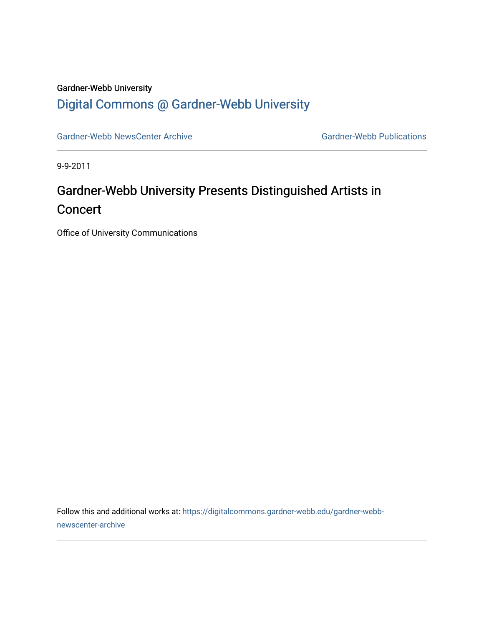## Gardner-Webb University [Digital Commons @ Gardner-Webb University](https://digitalcommons.gardner-webb.edu/)

[Gardner-Webb NewsCenter Archive](https://digitalcommons.gardner-webb.edu/gardner-webb-newscenter-archive) Gardner-Webb Publications

9-9-2011

## Gardner-Webb University Presents Distinguished Artists in **Concert**

Office of University Communications

Follow this and additional works at: [https://digitalcommons.gardner-webb.edu/gardner-webb](https://digitalcommons.gardner-webb.edu/gardner-webb-newscenter-archive?utm_source=digitalcommons.gardner-webb.edu%2Fgardner-webb-newscenter-archive%2F2022&utm_medium=PDF&utm_campaign=PDFCoverPages)[newscenter-archive](https://digitalcommons.gardner-webb.edu/gardner-webb-newscenter-archive?utm_source=digitalcommons.gardner-webb.edu%2Fgardner-webb-newscenter-archive%2F2022&utm_medium=PDF&utm_campaign=PDFCoverPages)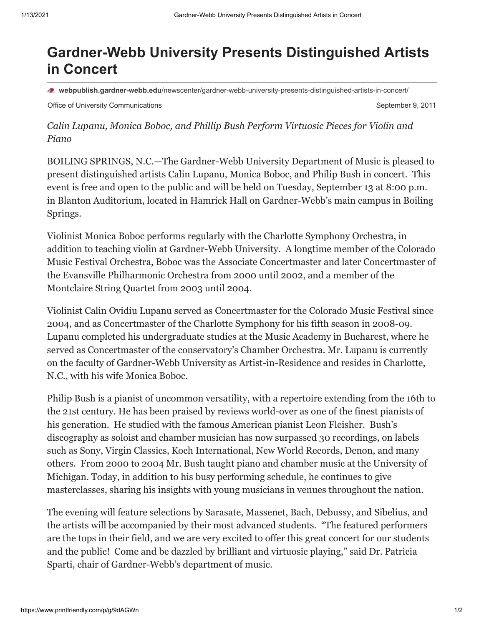## **Gardner-Webb University Presents Distinguished Artists in Concert**

**webpublish.gardner-webb.edu**[/newscenter/gardner-webb-university-presents-distinguished-artists-in-concert/](https://webpublish.gardner-webb.edu/newscenter/gardner-webb-university-presents-distinguished-artists-in-concert/)

Office of University Communications **September 9, 2011** September 9, 2011

*Calin Lupanu, Monica Boboc, and Phillip Bush Perform Virtuosic Pieces for Violin and Piano*

BOILING SPRINGS, N.C.—The Gardner-Webb University Department of Music is pleased to present distinguished artists Calin Lupanu, Monica Boboc, and Philip Bush in concert. This event is free and open to the public and will be held on Tuesday, September 13 at 8:00 p.m. in Blanton Auditorium, located in Hamrick Hall on Gardner-Webb's main campus in Boiling Springs.

Violinist Monica Boboc performs regularly with the Charlotte Symphony Orchestra, in addition to teaching violin at Gardner-Webb University. A longtime member of the Colorado Music Festival Orchestra, Boboc was the Associate Concertmaster and later Concertmaster of the Evansville Philharmonic Orchestra from 2000 until 2002, and a member of the Montclaire String Quartet from 2003 until 2004.

Violinist Calin Ovidiu Lupanu served as Concertmaster for the Colorado Music Festival since 2004, and as Concertmaster of the Charlotte Symphony for his fifth season in 2008-09. Lupanu completed his undergraduate studies at the Music Academy in Bucharest, where he served as Concertmaster of the conservatory's Chamber Orchestra. Mr. Lupanu is currently on the faculty of Gardner-Webb University as Artist-in-Residence and resides in Charlotte, N.C., with his wife Monica Boboc.

Philip Bush is a pianist of uncommon versatility, with a repertoire extending from the 16th to the 21st century. He has been praised by reviews world-over as one of the finest pianists of his generation. He studied with the famous American pianist Leon Fleisher. Bush's discography as soloist and chamber musician has now surpassed 30 recordings, on labels such as Sony, Virgin Classics, Koch International, New World Records, Denon, and many others. From 2000 to 2004 Mr. Bush taught piano and chamber music at the University of Michigan. Today, in addition to his busy performing schedule, he continues to give masterclasses, sharing his insights with young musicians in venues throughout the nation.

The evening will feature selections by Sarasate, Massenet, Bach, Debussy, and Sibelius, and the artists will be accompanied by their most advanced students. "The featured performers are the tops in their field, and we are very excited to offer this great concert for our students and the public! Come and be dazzled by brilliant and virtuosic playing," said Dr. Patricia Sparti, chair of Gardner-Webb's department of music.